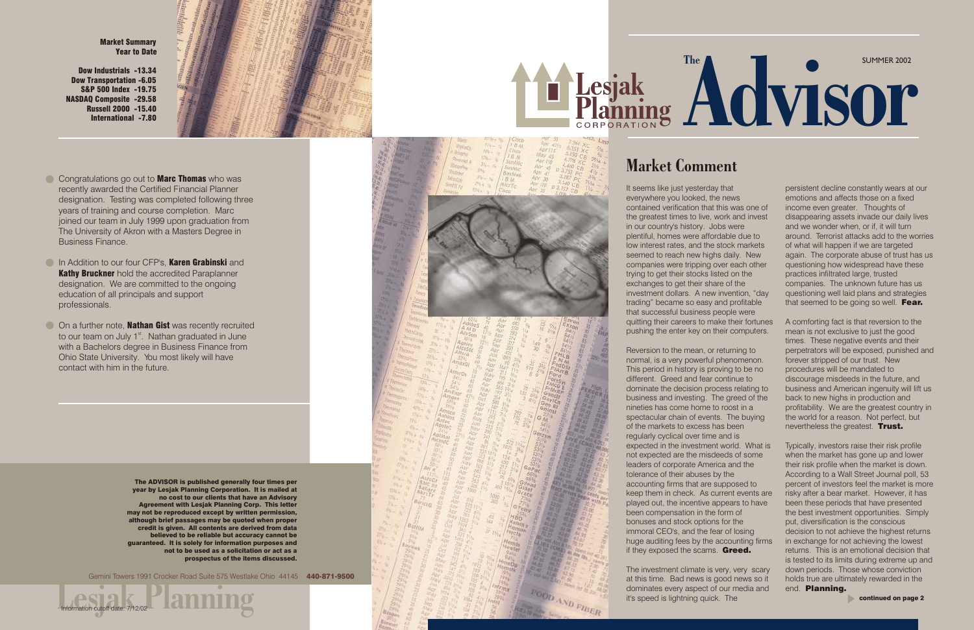It seems like just yesterday that everywhere you looked, the news contained verification that this was one of the greatest times to live, work and invest in our country's history. Jobs were plentiful, homes were affordable due to low interest rates, and the stock markets seemed to reach new highs daily. New companies were tripping over each other trying to get their stocks listed on the exchanges to get their share of the investment dollars. A new invention, "day trading" became so easy and profitable that successful business people were quitting their careers to make their fortunes pushing the enter key on their computers.

Reversion to the mean, or returning to normal, is a very powerful phenomenon. This period in history is proving to be no different. Greed and fear continue to dominate the decision process relating to business and investing. The greed of the nineties has come home to roost in a spectacular chain of events. The buying of the markets to excess has been regularly cyclical over time and is expected in the investment world. What is not expected are the misdeeds of some leaders of corporate America and the tolerance of their abuses by the accounting firms that are supposed to keep them in check. As current events are played out, the incentive appears to have been compensation in the form of bonuses and stock options for the immoral CEO's, and the fear of losing huge auditing fees by the accounting firms if they exposed the scams. Greed.

- Congratulations go out to **Marc Thomas** who was recently awarded the Certified Financial Planner designation. Testing was completed following three years of training and course completion. Marc joined our team in July 1999 upon graduation from The University of Akron with a Masters Degree in Business Finance.
- **In Addition to our four CFP's. Karen Grabinski** and **Kathy Bruckner** hold the accredited Paraplanner designation. We are committed to the ongoing education of all principals and support professionals.
- On a further note, **Nathan Gist** was recently recruited to our team on July  $1<sup>st</sup>$ . Nathan graduated in June with a Bachelors degree in Business Finance from Ohio State University. You most likely will have contact with him in the future.

persistent decline constantly wears at our emotions and affects those on a fixed income even greater. Thoughts of disappearing assets invade our daily lives and we wonder when, or if, it will turn around. Terrorist attacks add to the worries of what will happen if we are targeted again. The corporate abuse of trust has us questioning how widespread have these practices infiltrated large, trusted companies. The unknown future has us questioning well laid plans and strategies that seemed to be going so well. Fear.

The investment climate is very, very scary at this time. Bad news is good news so it dominates every aspect of our media and it's speed is lightning quick. The

FOOD AND FIBER

# SUMMER 2002 The Advisor

Market Comment

A comforting fact is that reversion to the mean is not exclusive to just the good times. These negative events and their perpetrators will be exposed, punished and forever stripped of our trust. New procedures will be mandated to discourage misdeeds in the future, and business and American ingenuity will lift us back to new highs in production and profitability. We are the greatest country in the world for a reason. Not perfect, but nevertheless the greatest. Trust.

The ADVISOR is published generally four times per year by Lesjak Planning Corporation. It is mailed at no cost to our clients that have an Advisory Agreement with Lesjak Planning Corp. This letter may not be reproduced except by written permission, although brief passages may be quoted when proper credit is given. All contents are derived from data believed to be reliable but accuracy cannot be guaranteed. It is solely for information purposes and not to be used as a solicitation or act as a prospectus of the items discussed.





Gemini Towers 1991 Crocker Road Suite 575 Westlake Ohio 44145 440-871-9500

Typically, investors raise their risk profile when the market has gone up and lower their risk profile when the market is down. According to a Wall Street Journal poll, 53 percent of investors feel the market is more risky after a bear market. However, it has been these periods that have presented the best investment opportunities. Simply put, diversification is the conscious decision to not achieve the highest returns in exchange for not achieving the lowest returns. This is an emotional decision that is tested to its limits during extreme up and down periods. Those whose conviction holds true are ultimately rewarded in the end. Planning.

Market Summary Year to Date

Dow Industrials -13.34 Dow Transportation -6.05 S&P 500 Index -19.75 NASDAQ Composite -29.58 Russell 2000 -15.40 International -7.80